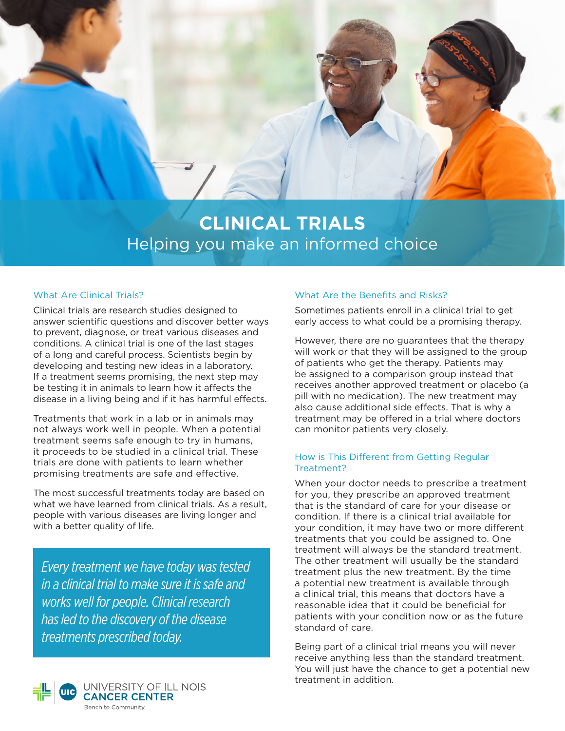

# **CLINICAL TRIALS** Helping you make an informed choice

#### What Are Clinical Trials?

Clinical trials are research studies designed to answer scientific questions and discover better ways to prevent, diagnose, or treat various diseases and conditions. A clinical trial is one of the last stages of a long and careful process. Scientists begin by developing and testing new ideas in a laboratory. If a treatment seems promising, the next step may be testing it in animals to learn how it affects the disease in a living being and if it has harmful effects.

Treatments that work in a lab or in animals may not always work well in people. When a potential treatment seems safe enough to try in humans, it proceeds to be studied in a clinical trial. These trials are done with patients to learn whether promising treatments are safe and effective.

The most successful treatments today are based on what we have learned from clinical trials. As a result, people with various diseases are living longer and with a better quality of life.

*Every treatment we have today was tested in a clinical trial to make sure it is safe and works well for people. Clinical research has led to the discovery of the disease treatments prescribed today.*



#### What Are the Benefits and Risks?

Sometimes patients enroll in a clinical trial to get early access to what could be a promising therapy.

However, there are no guarantees that the therapy will work or that they will be assigned to the group of patients who get the therapy. Patients may be assigned to a comparison group instead that receives another approved treatment or placebo (a pill with no medication). The new treatment may also cause additional side effects. That is why a treatment may be offered in a trial where doctors can monitor patients very closely.

#### How is This Different from Getting Regular Treatment?

When your doctor needs to prescribe a treatment for you, they prescribe an approved treatment that is the standard of care for your disease or condition. If there is a clinical trial available for your condition, it may have two or more different treatments that you could be assigned to. One treatment will always be the standard treatment. The other treatment will usually be the standard treatment plus the new treatment. By the time a potential new treatment is available through a clinical trial, this means that doctors have a reasonable idea that it could be beneficial for patients with your condition now or as the future standard of care.

Being part of a clinical trial means you will never receive anything less than the standard treatment. You will just have the chance to get a potential new treatment in addition.